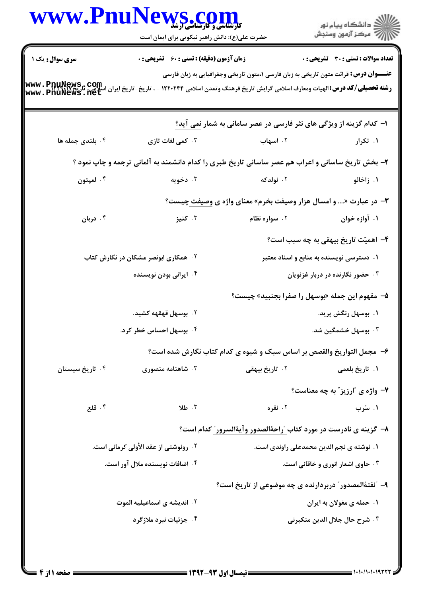|                                                                                                                                                                                          | WWW.PnuNews.com<br>حضرت علی(ع): دانش راهبر نیکویی برای ایمان است                                  |                                                                                              | ان دانشگاه پيام نور<br>اس مرکز آزمون وسنجش   |  |  |
|------------------------------------------------------------------------------------------------------------------------------------------------------------------------------------------|---------------------------------------------------------------------------------------------------|----------------------------------------------------------------------------------------------|----------------------------------------------|--|--|
| سری سوال: یک ۱<br>  www . PnuNews , Com<br>  <b>شته تحصیلی/کد درس:</b> الهیات ومعارف اسلامی گرایش تاریخ فرهنگ وتمدن اسلامی ۱۲۲۰۲۴۴ - ، تاریخ-تاریخ ایران اسلامی<br>  www . PnuNews . net | زمان آزمون (دقیقه) : تستی : 60 ٪ تشریحی : 0                                                       | <b>عنــــوان درس:</b> قرائت متون تاریخی به زبان فارسی ۱،متون تاریخی وجغرافیایی به زبان فارسی | <b>تعداد سوالات : تستی : 30 ٪ تشریحی : 0</b> |  |  |
|                                                                                                                                                                                          |                                                                                                   | ۱– کدام گزینه از ویژگی های نثر فارسی در عصر سامانی به شمار نمی آید؟                          |                                              |  |  |
| ۰۴ بلندی جمله ها                                                                                                                                                                         | ۰۳ کمی لغات تازی                                                                                  | ۰۲ اسهاب                                                                                     | ۰۱ تکرار                                     |  |  |
|                                                                                                                                                                                          | ۲- بخش تاریخ ساسانی و اعراب هم عصر ساسانی تاریخ طبری را کدام دانشمند به آلمانی ترجمه و چاپ نمود ؟ |                                                                                              |                                              |  |  |
| ۰۴ لمپتون                                                                                                                                                                                | ۰۳ دخویه                                                                                          | ۰۲ نولدکه                                                                                    | ۰۱ زاخائو                                    |  |  |
|                                                                                                                                                                                          | <b>۳</b> - در عبارت « و امسال هزار وصیفت بخرم» معنای واژه ی وصیفت چیست؟                           |                                                                                              |                                              |  |  |
| ۰۴ دربان                                                                                                                                                                                 | ۰۳ کنیز                                                                                           | ۰۲ سواره نظام                                                                                | ۰۱ آوازه خوان                                |  |  |
|                                                                                                                                                                                          |                                                                                                   |                                                                                              | ۴– اهمیّت تاریخ بیهقی به چه سبب است؟         |  |  |
|                                                                                                                                                                                          | <b>۲ . همکاری ابونصر مشکان در نگارش کتاب</b>                                                      |                                                                                              | ۰۱ دسترسی نویسنده به منابع و اسناد معتبر     |  |  |
|                                                                                                                                                                                          | ۰۴ ایرانی بودن نویسنده                                                                            |                                                                                              | ۰۳ حضور نگارنده در دربار غزنویان             |  |  |
|                                                                                                                                                                                          |                                                                                                   | ۵–  مفهوم این جمله «بوسهل را صفرا بجنبید» چیست؟                                              |                                              |  |  |
|                                                                                                                                                                                          | ۰۲ بوسهل قهقهه کشید.                                                                              |                                                                                              | ۰۱ بوسهل رنگش پرید.                          |  |  |
|                                                                                                                                                                                          | ۰۴ بوسهل احساس خطر کرد.                                                                           |                                                                                              | ۰۳ بوسهل خشمگین شد.                          |  |  |
|                                                                                                                                                                                          |                                                                                                   | ۶- مجمل التواريخ والقصص بر اساس سبک و شيوه ي کدام کتاب نگارش شده است؟                        |                                              |  |  |
| ۰۴ تاریخ سیستان                                                                                                                                                                          | ۰۳ شاهنامه منصوری                                                                                 | ۰۲ تاریخ بیهقی                                                                               | ١. تاريخ بلعمي                               |  |  |
|                                                                                                                                                                                          |                                                                                                   |                                                                                              | <b>٧- واژه ی "ارزیز" به چه معناست؟</b>       |  |  |
| ۰۴ قلع                                                                                                                                                                                   | ٠٣ طلا                                                                                            | ۰۲ نقره                                                                                      | ۱. سُرب                                      |  |  |
|                                                                                                                                                                                          |                                                                                                   | ٨- گزینه ی نادرست در مورد کتاب <u>"راحهٔ</u> الصدور وآیهٔالسرور ِ کدام است؟                  |                                              |  |  |
|                                                                                                                                                                                          | <b>۲ . رونوشتی از عقد الأولی کرمانی است.</b>                                                      |                                                                                              | ۱. نوشته ی نجم الدین محمدعلی راوندی است.     |  |  |
|                                                                                                                                                                                          | ۰۴ اضافات نویسنده ملال آور است.                                                                   |                                                                                              | ۰۳ حاوی اشعار انوری و خاقانی است.            |  |  |
|                                                                                                                                                                                          |                                                                                                   | ۹- "نفثهٔالمصدور" دربردارنده ی چه موضوعی از تاریخ است؟                                       |                                              |  |  |
|                                                                                                                                                                                          | ۰۲ اندیشه ی اسماعیلیه الموت                                                                       |                                                                                              | ۰۱ حمله ی مغولان به ایران                    |  |  |
|                                                                                                                                                                                          | ۰۴ جزئیات نبرد ملازگرد                                                                            |                                                                                              | ٣. شرح حال جلال الدين منكبرني                |  |  |
|                                                                                                                                                                                          |                                                                                                   |                                                                                              |                                              |  |  |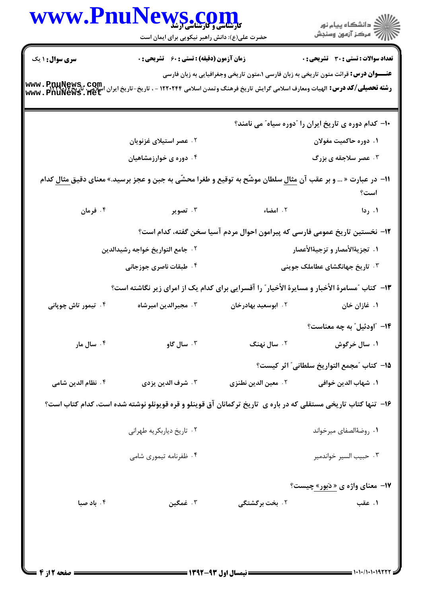|                                                                                               | WWW.PnuNews.com<br>حضرت علی(ع): دانش راهبر نیکویی برای ایمان است                                                                                |                     | ر دانشگاه پيام نور<br>دانشگاه پيام نور                                                       |  |  |
|-----------------------------------------------------------------------------------------------|-------------------------------------------------------------------------------------------------------------------------------------------------|---------------------|----------------------------------------------------------------------------------------------|--|--|
| <b>سری سوال : ۱ یک</b>                                                                        | <b>زمان آزمون (دقیقه) : تستی : 60 ٪ تشریحی : 0</b>                                                                                              |                     | <b>تعداد سوالات : تستی : 30 ٪ تشریحی : 0</b>                                                 |  |  |
|                                                                                               | <b>رشته تحصیلی/کد درس:</b> الهیات ومعارف اسلامی گرایش تاریخ فرهنگ وتمدن اسلامی ۱۲۲۰۲۴۴ - ، تاریخ-تاریخ ایران اسلامی، پن<br>www . PnuNews . flet |                     | <b>عنــــوان درس:</b> قرائت متون تاریخی به زبان فارسی ۱،متون تاریخی وجغرافیایی به زبان فارسی |  |  |
|                                                                                               |                                                                                                                                                 |                     | <b>۰۱- کدام دوره ی تاریخ ایران را آدوره سیاه ّ می نامند؟</b>                                 |  |  |
|                                                                                               | ۰۲ عصر استیلای غزنویان                                                                                                                          |                     | ۰۱ دوره حاکمیت مغولان                                                                        |  |  |
|                                                                                               | ۰۴ دوره ی خوارزمشاهیان                                                                                                                          |                     | ۰۳ عصر سلاجقه ی بزرگ                                                                         |  |  |
|                                                                                               | ۱۱− در عبارت « … و بر عقب آن <u>مثال</u> سلطان موشّح به توقیع و طغرا محشّی به جبن و عجز برسید.» معنای دقیق <u>مثال</u> کدام                     |                     | است؟                                                                                         |  |  |
| ۰۴ فرمان                                                                                      | ۰۳ تصویر                                                                                                                                        | ۲. امضاء            | ۰۱ ردا                                                                                       |  |  |
|                                                                                               |                                                                                                                                                 |                     | ۱۲– نخستین تاریخ عمومی فارسی که پیرامون احوال مردم آسیا سخن گفته، کدام است؟                  |  |  |
|                                                                                               | ۰۲ جامع التواريخ خواجه رشيدالدين                                                                                                                |                     | ١. تجزيةالأمصار و تزجيةالأعصار                                                               |  |  |
|                                                                                               | ۰۴ طبقات ناصری جوزجانی                                                                                                                          |                     | ۰۳ تاریخ جهانگشای عطام <mark>لک جوینی</mark>                                                 |  |  |
| ۱۳- کتاب "مسامرهٔ الأخبار و مسایرهٔ الأخیار" را آقسرایی برای کدام یک از امرای زیر نگاشته است؟ |                                                                                                                                                 |                     |                                                                                              |  |  |
| ۰۴ تیمور تاش چوپانی                                                                           | ۰۳ مجيرالدين اميرشاه                                                                                                                            | ۰۲ ابوسعید بهادرخان | ۰۱ غازان خان                                                                                 |  |  |
|                                                                                               |                                                                                                                                                 |                     | <b>۱۴</b> "اودئیل" به چه معناست؟                                                             |  |  |
| ۰۴ سال مار                                                                                    | ۰۳ سال گاو                                                                                                                                      | ۰۲ سال نهنگ         | ۰۱ سال خرگوش                                                                                 |  |  |
|                                                                                               |                                                                                                                                                 |                     | 1۵– كتاب ″مجمع التواريخ سلطاني″ اثر كيست؟                                                    |  |  |
| ۰۴ نظام الدين شامي                                                                            | ٠٣ شرف الدين يزدي                                                                                                                               | ٠٢ معين الدين نطنزي | ١. شهاب الدين خوافي                                                                          |  |  |
|                                                                                               | ۱۶- تنها کتاب تاریخی مستقلی که در باره ی تاریخ ترکمانان آق قوینلو و قره قویونلو نوشته شده است، کدام کتاب است؟                                   |                     |                                                                                              |  |  |
|                                                                                               | ۰۲ تاریخ دیاربکریه طهرانی                                                                                                                       |                     | ٠١. روضةالصفاى ميرخواند                                                                      |  |  |
|                                                                                               | ۰۴ ظفرنامه تیموری شامی                                                                                                                          |                     | ۰۳ حبيب السير خواندمير                                                                       |  |  |
|                                                                                               |                                                                                                                                                 |                     | <b>۱۷- معنای واژه ی « دَبور» چیست؟</b>                                                       |  |  |
| ۰۴ باد صبا                                                                                    | ۰۳ غمگین                                                                                                                                        | ۲. بخت برگشتگی      | ۰۱ عقب                                                                                       |  |  |
|                                                                                               |                                                                                                                                                 |                     |                                                                                              |  |  |
|                                                                                               |                                                                                                                                                 |                     | 1010/10101977                                                                                |  |  |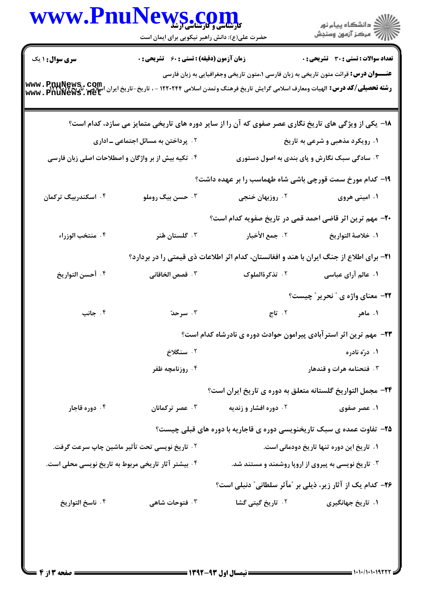| انشگاه پيام نور)<br>اسرکز آزمون وسنجش                                                                                                                                                                                               |                                                                                                                                                                                                              | حضرت علی(ع): دانش راهبر نیکویی برای ایمان است       | www.PnuNews.com                                     |  |
|-------------------------------------------------------------------------------------------------------------------------------------------------------------------------------------------------------------------------------------|--------------------------------------------------------------------------------------------------------------------------------------------------------------------------------------------------------------|-----------------------------------------------------|-----------------------------------------------------|--|
| <b>تعداد سوالات : تستی : 30 ٪ تشریحی : 0</b>                                                                                                                                                                                        |                                                                                                                                                                                                              | <b>زمان آزمون (دقیقه) : تستی : 60 ٪ تشریحی : 0</b>  | <b>سری سوال :</b> ۱ یک                              |  |
|                                                                                                                                                                                                                                     | <b>عنــــوان درس:</b> قرائت متون تاریخی به زبان فارسی ۱،متون تاریخی وجغرافیایی به زبان فارسی<br><b>رشته تحصیلی/کد درس:</b> الهیات ومعارف اسلامی گرایش تاریخ فرهنگ وتمدن اسلامی ۱۲۲۰۲۴۴ - ، تاریخ-تاریخ ایران |                                                     | www.PnuNews.com<br>www.PnuNews.fet                  |  |
|                                                                                                                                                                                                                                     | ۱۸– یکی از ویژگی های تاریخ نگاری عصر صفوی که آن را از سایر دوره های تاریخی متمایز می سازد، کدام است؟                                                                                                         |                                                     |                                                     |  |
| ۱. رویکرد مذهبی و شرعی به تاریخ                                                                                                                                                                                                     |                                                                                                                                                                                                              | <b>۲ . پرداختن به مسائل اجتماعی ــ اداری</b>        |                                                     |  |
|                                                                                                                                                                                                                                     | ۰۳ سادگی سبک نگارش و پای بندی به اصول دستوری                                                                                                                                                                 |                                                     | ۰۴ تکیه بیش از بر واژگان و اصطلاحات اصلی زبان فارسی |  |
|                                                                                                                                                                                                                                     | ۱۹- کدام مورخ سمت قورچی باشی شاه طهماسب را بر عهده داشت؟                                                                                                                                                     |                                                     |                                                     |  |
| ۰۱ امینی هروی                                                                                                                                                                                                                       | ۰۲ روزبهان خنجی                                                                                                                                                                                              | ۰۳ حسن بیگ روملو                                    | ۰۴ اسکندربیگ ترکمان                                 |  |
|                                                                                                                                                                                                                                     | +۲- مهم ترین اثر قاضی احمد قمی در تاریخ صفویه کدام است؟                                                                                                                                                      |                                                     |                                                     |  |
| ١. خلاصهٔ التواريخ                                                                                                                                                                                                                  | ٢. جمع الأخبار                                                                                                                                                                                               | ۰۳ گلستان هُنر                                      | ۰۴ منتخب الوزراء                                    |  |
|                                                                                                                                                                                                                                     | <b>۲۱</b> - برای اطلاع از جنگ ایران با هند و افغانستان، کدام اثر اطلاعات ذی قیمتی را در بردارد؟                                                                                                              |                                                     |                                                     |  |
| ۱. عالم آرای عباسی                                                                                                                                                                                                                  | ۰۲ تذکرهٔالملوک                                                                                                                                                                                              | <b>٣. قصص الخاقانی</b>                              | ۰۴ أحسن التواريخ                                    |  |
| <b>۲۲- معنای واژه ی " نحریر " چیست؟</b>                                                                                                                                                                                             |                                                                                                                                                                                                              |                                                     |                                                     |  |
| ۰۱ ماهر مسلمان است.<br>اور این مسلمان است که مواد است که می کند و این مسلمان است که به این مسلمان است که این مسلمان است که از این مسل<br>این مسلمان است که از مسلمان است که این مسلمان است که از این مسلمان است که از این مسلمان ای |                                                                                                                                                                                                              | ۰۳ سرحدّ                                            | ۰۴ جانب                                             |  |
|                                                                                                                                                                                                                                     | ۲۳- مهم ترین اثر استرآبادی پیرامون حوادث دوره ی نادرشاه کدام است؟                                                                                                                                            |                                                     |                                                     |  |
| ۱. درّه نادره                                                                                                                                                                                                                       |                                                                                                                                                                                                              | ۰۲ سنگلاخ                                           |                                                     |  |
| ۰۳ فتحنامه هرات و قندهار                                                                                                                                                                                                            |                                                                                                                                                                                                              | ۰۴ روزنامچه ظفر                                     |                                                     |  |
|                                                                                                                                                                                                                                     | ۲۴– مجمل التواريخ گلستانه متعلق به دوره ی تاريخ ايران است؟                                                                                                                                                   |                                                     |                                                     |  |
| ۰۱ عصر صفوی                                                                                                                                                                                                                         | ۰۲ دوره افشار و زندیه                                                                                                                                                                                        | ۰۳ عصر ترکمانان                                     | ۰۴ دوره قاجار                                       |  |
|                                                                                                                                                                                                                                     | ۲۵- تفاوت عمده ی سبک تاریخنویسی دوره ی قاجاریه با دوره های قبلی چیست؟                                                                                                                                        |                                                     |                                                     |  |
| ۱. تاریخ این دوره تنها تاریخ دودمانی است.                                                                                                                                                                                           |                                                                                                                                                                                                              |                                                     | ۲ . تاریخ نویسی تحت تأثیر ماشین چاپ سرعت گرفت.      |  |
| ۰۳ تاریخ نویسی به پیروی از اروپا روشمند و مستند شد.                                                                                                                                                                                 |                                                                                                                                                                                                              | ۰۴ بیشتر آثار تاریخی مربوط به تاریخ نویسی محلی است. |                                                     |  |
|                                                                                                                                                                                                                                     | ۲۶- کدام یک از آثار زیر، ذیلی بر "مآثر سلطانی" دنبلی است؟                                                                                                                                                    |                                                     |                                                     |  |
| ۰۱ تاریخ جهانگیری                                                                                                                                                                                                                   | <b>۲. تاریخ گیتی گشا</b>                                                                                                                                                                                     | ۰۳ فتوحات شاهی                                      | ۰۴ ناسخ التواريخ                                    |  |